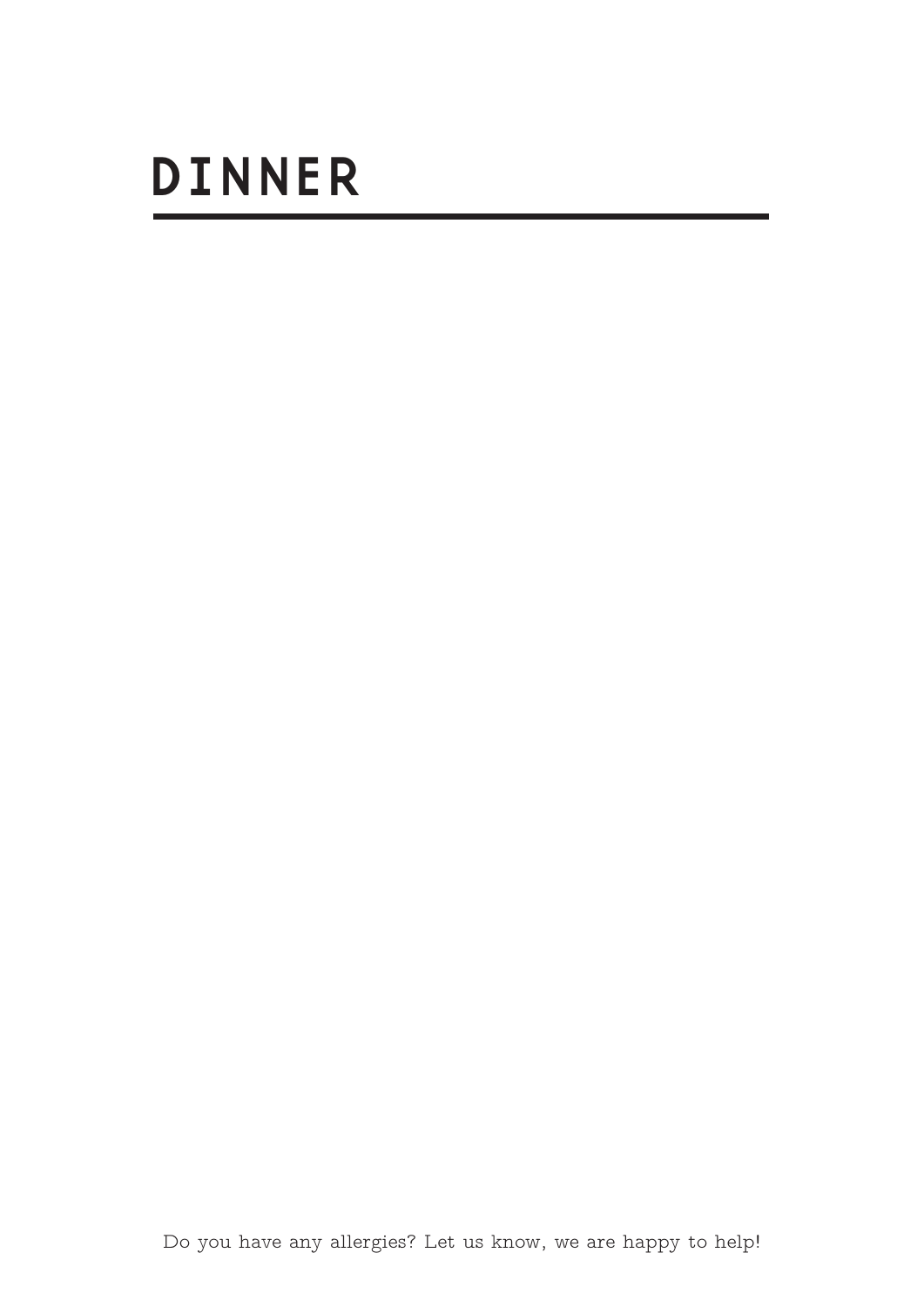# DINNER

Do you have any allergies? Let us know, we are happy to help!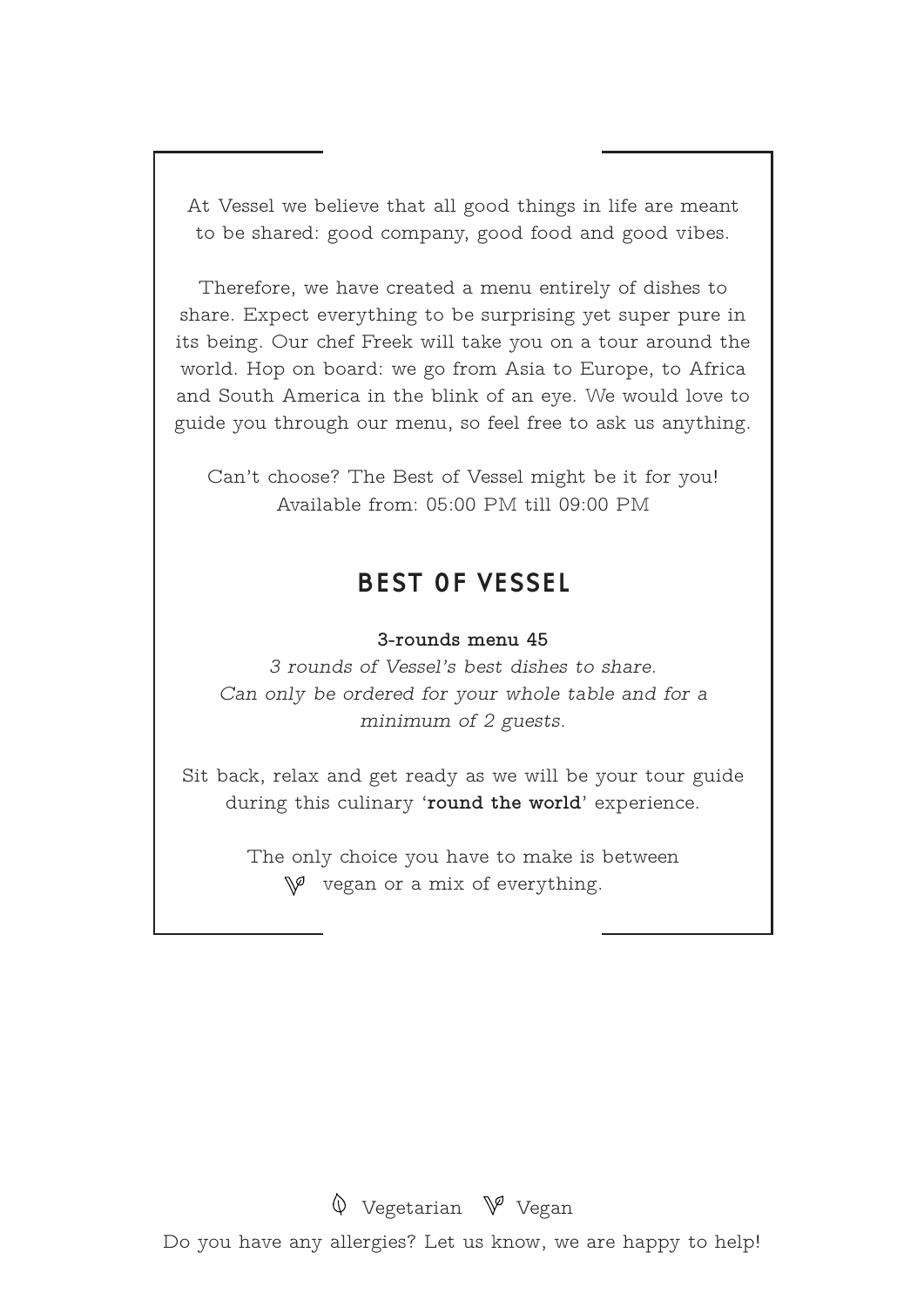At Vessel we believe that all good things in life are meant to be shared: good company, good food and good vibes.

Therefore, we have created a menu entirely of dishes to share. Expect everything to be surprising yet super pure in its being. Our chef Freek will take you on a tour around the world. Hop on board: we go from Asia to Europe, to Africa and South America in the blink of an eye. We would love to guide you through our menu, so feel free to ask us anything.

Can't choose? The Best of Vessel might be it for you! Available from: 05:00 PM till 09:00 PM

## BEST OF VESSEL

#### **3-rounds menu 45**

*3 rounds of Vessel's best dishes to share. Can only be ordered for your whole table and for a minimum of 2 guests.*

Sit back, relax and get ready as we will be your tour guide during this culinary '**round the world**' experience.

> The only choice you have to make is between  $\mathbb{V}^{\mathcal{G}}$  vegan or a mix of everything.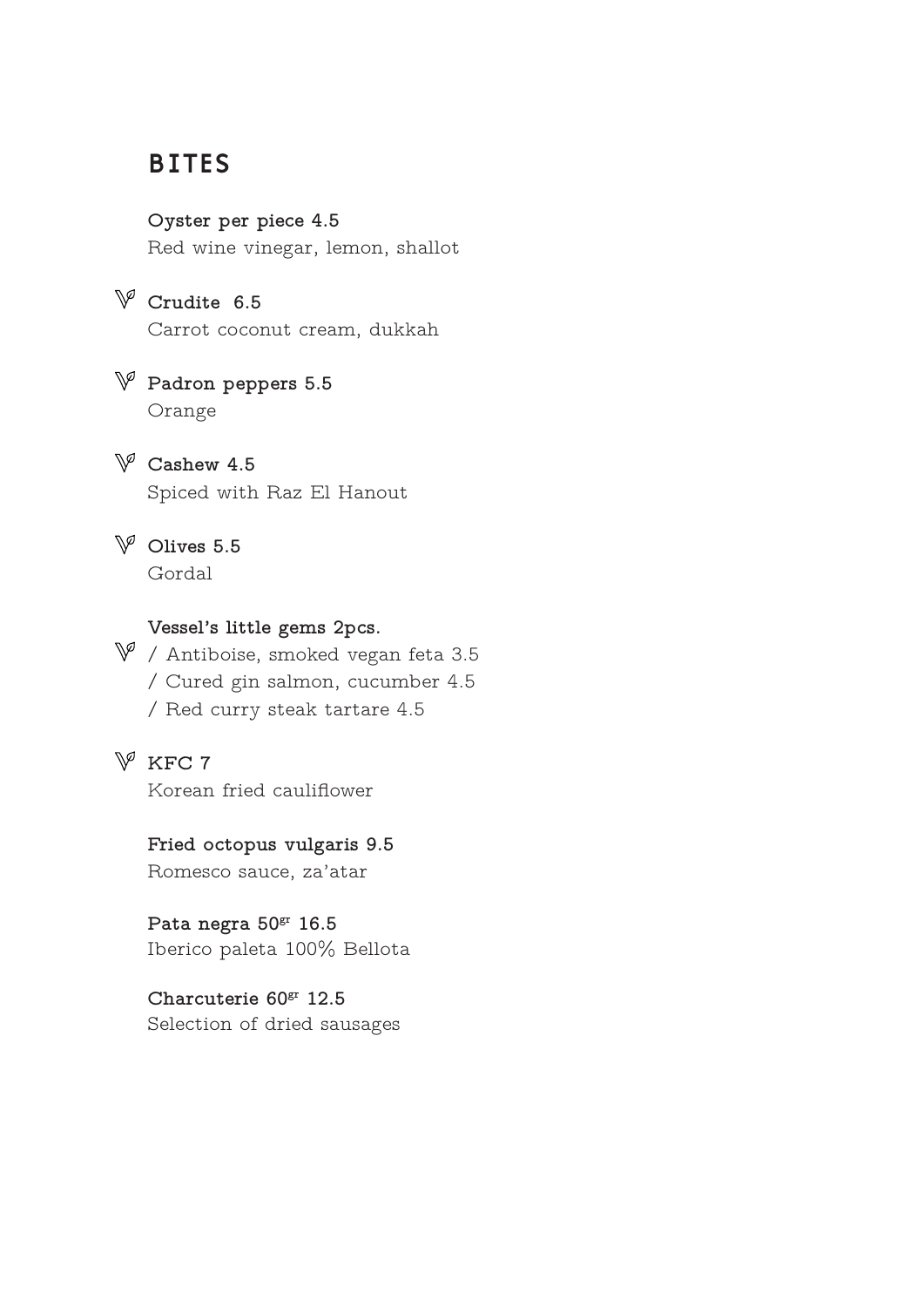## BITES

**Oyster per piece 4.5** Red wine vinegar, lemon, shallot

**Crudite 6.5** Carrot coconut cream, dukkah

**Padron peppers 5.5** Orange

**Cashew 4.5** Spiced with Raz El Hanout

**Olives 5.5** Gordal

#### **Vessel's little gems 2pcs.**

 $\mathbb {V}$  / Antiboise, smoked vegan feta 3.5 / Cured gin salmon, cucumber 4.5 / Red curry steak tartare 4.5

# **KFC 7**

Korean fried cauliflower

#### **Fried octopus vulgaris 9.5**

Romesco sauce, za'atar

**Pata negra 50gr 16.5** Iberico paleta 100% Bellota

**Charcuterie 60gr 12.5** Selection of dried sausages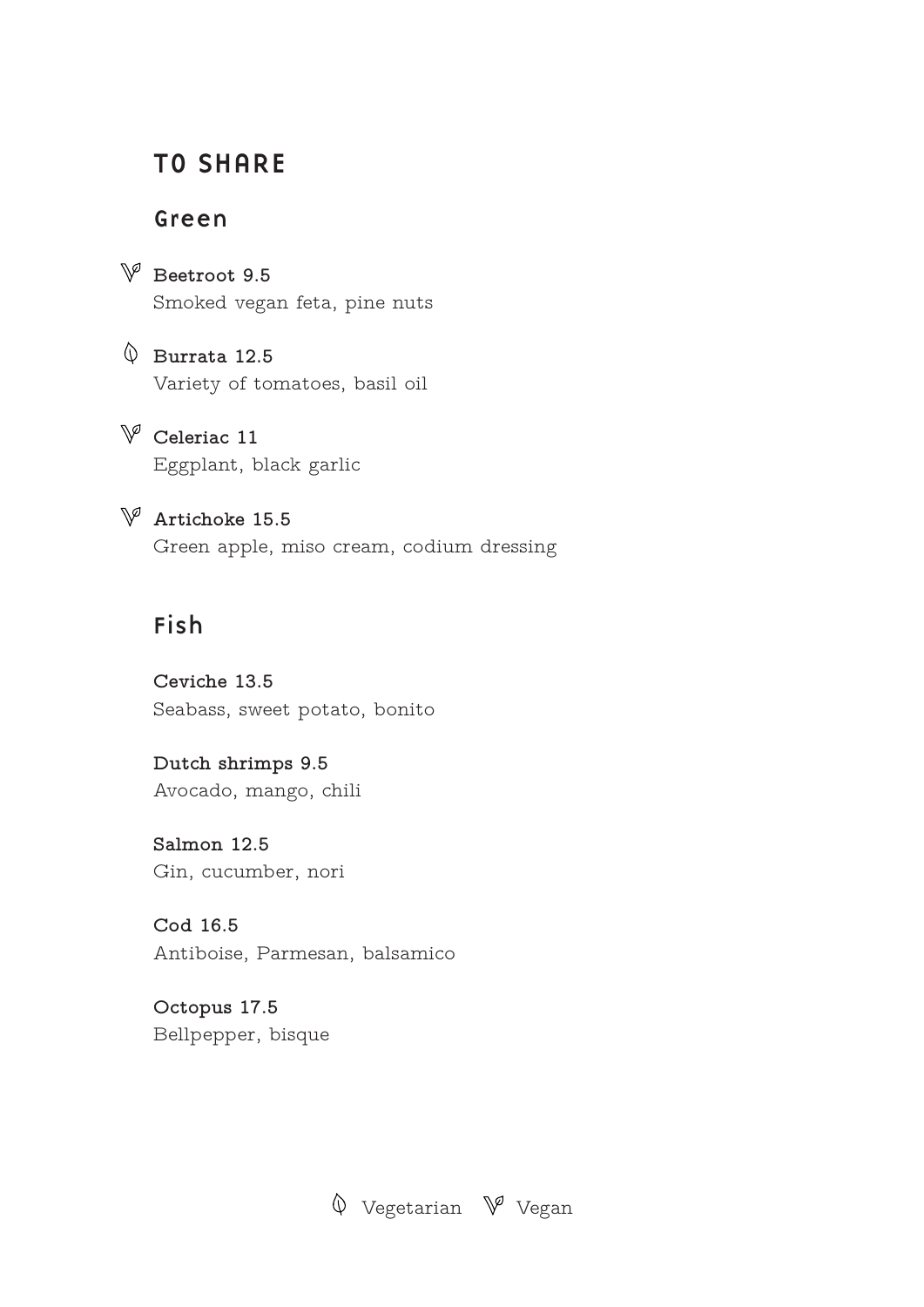## TO SHARE

#### Green

**Beetroot 9.5** Smoked vegan feta, pine nuts

**Burrata 12.5** Variety of tomatoes, basil oil

 $\mathbb{V}$  Celeriac 11 Eggplant, black garlic

**Artichoke 15.5** Green apple, miso cream, codium dressing

## Fish

**Ceviche 13.5** Seabass, sweet potato, bonito

**Dutch shrimps 9.5** Avocado, mango, chili

**Salmon 12.5** Gin, cucumber, nori

**Cod 16.5** Antiboise, Parmesan, balsamico

**Octopus 17.5** Bellpepper, bisque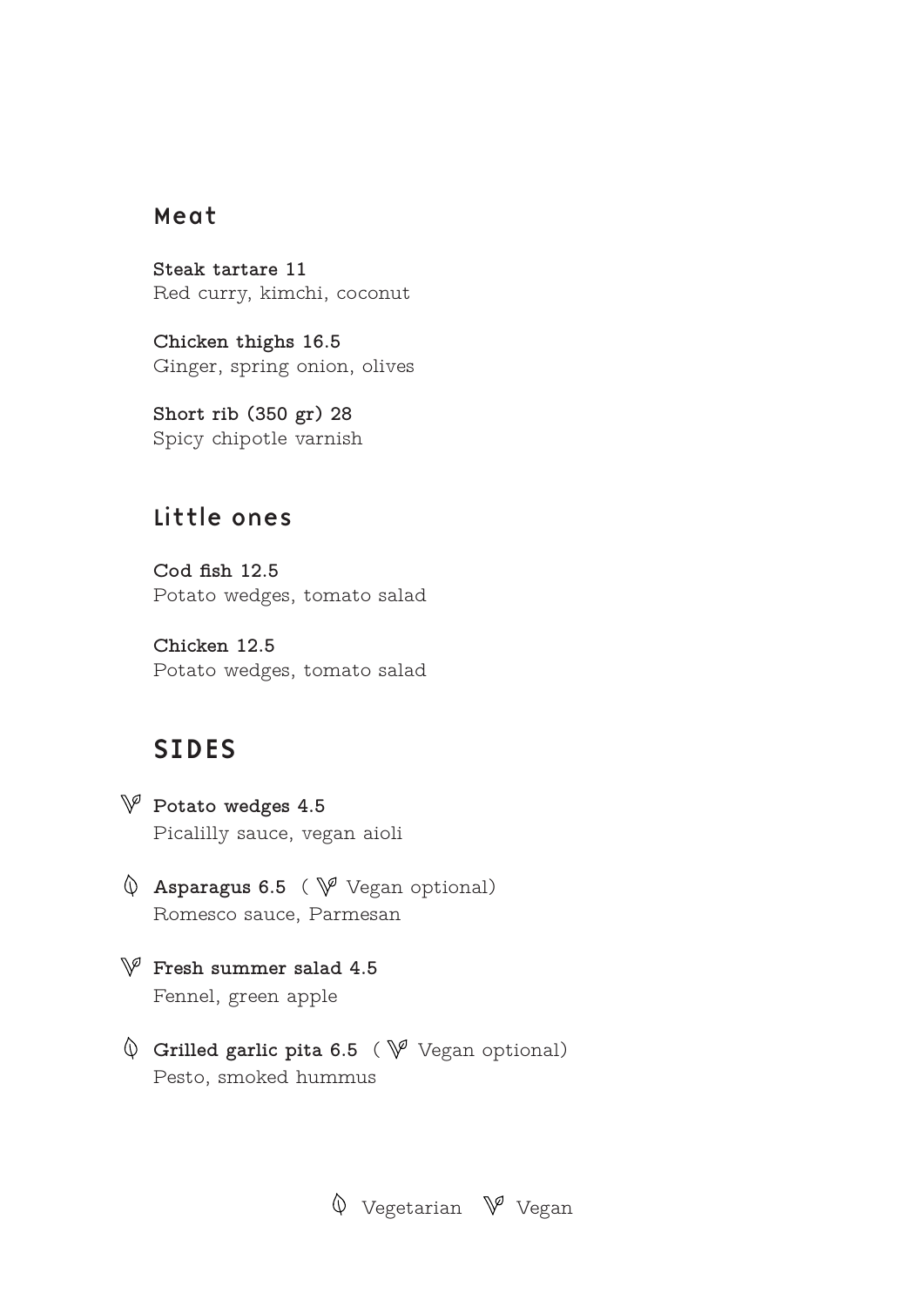### Meat

**Steak tartare 11** Red curry, kimchi, coconut

**Chicken thighs 16.5** Ginger, spring onion, olives

**Short rib (350 gr) 28** Spicy chipotle varnish

## Little ones

**Cod fish 12.5** Potato wedges, tomato salad

**Chicken 12.5** Potato wedges, tomato salad

## SIDES

- **Potato wedges 4.5** Picalilly sauce, vegan aioli
- $\varphi$  **Asparagus 6.5** (  $\psi$  Vegan optional) Romesco sauce, Parmesan
- **Fresh summer salad 4.5** Fennel, green apple
- $\lozenge$  Grilled garlic pita 6.5 ( $\lozenge$  Vegan optional) Pesto, smoked hummus

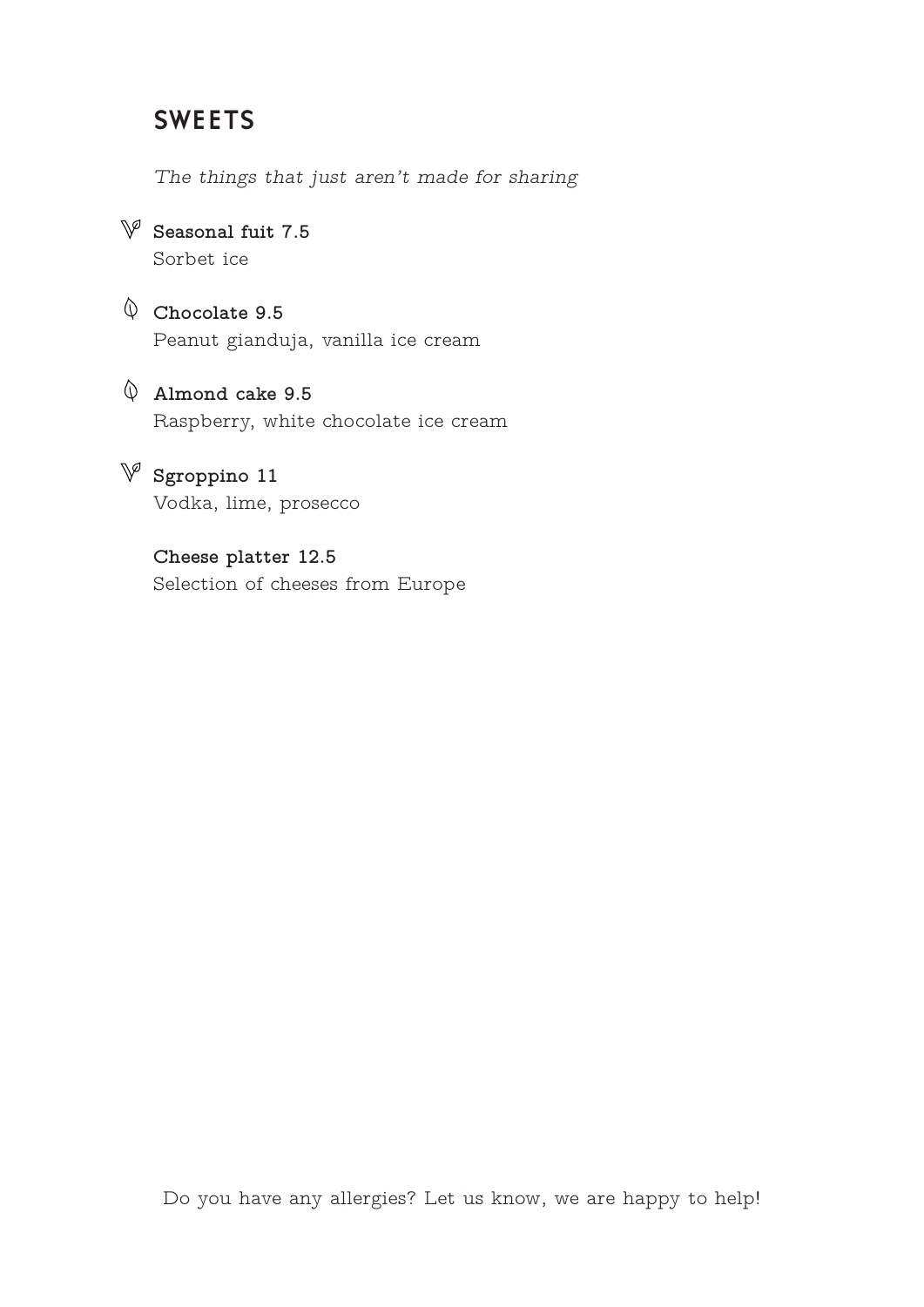## SWEETS

*The things that just aren't made for sharing* 

**Seasonal fuit 7.5** Sorbet ice

**Chocolate 9.5** Peanut gianduja, vanilla ice cream

**Almond cake 9.5** Raspberry, white chocolate ice cream

 $\mathbb{V}$  Sgroppino 11 Vodka, lime, prosecco

> **Cheese platter 12.5** Selection of cheeses from Europe

Do you have any allergies? Let us know, we are happy to help!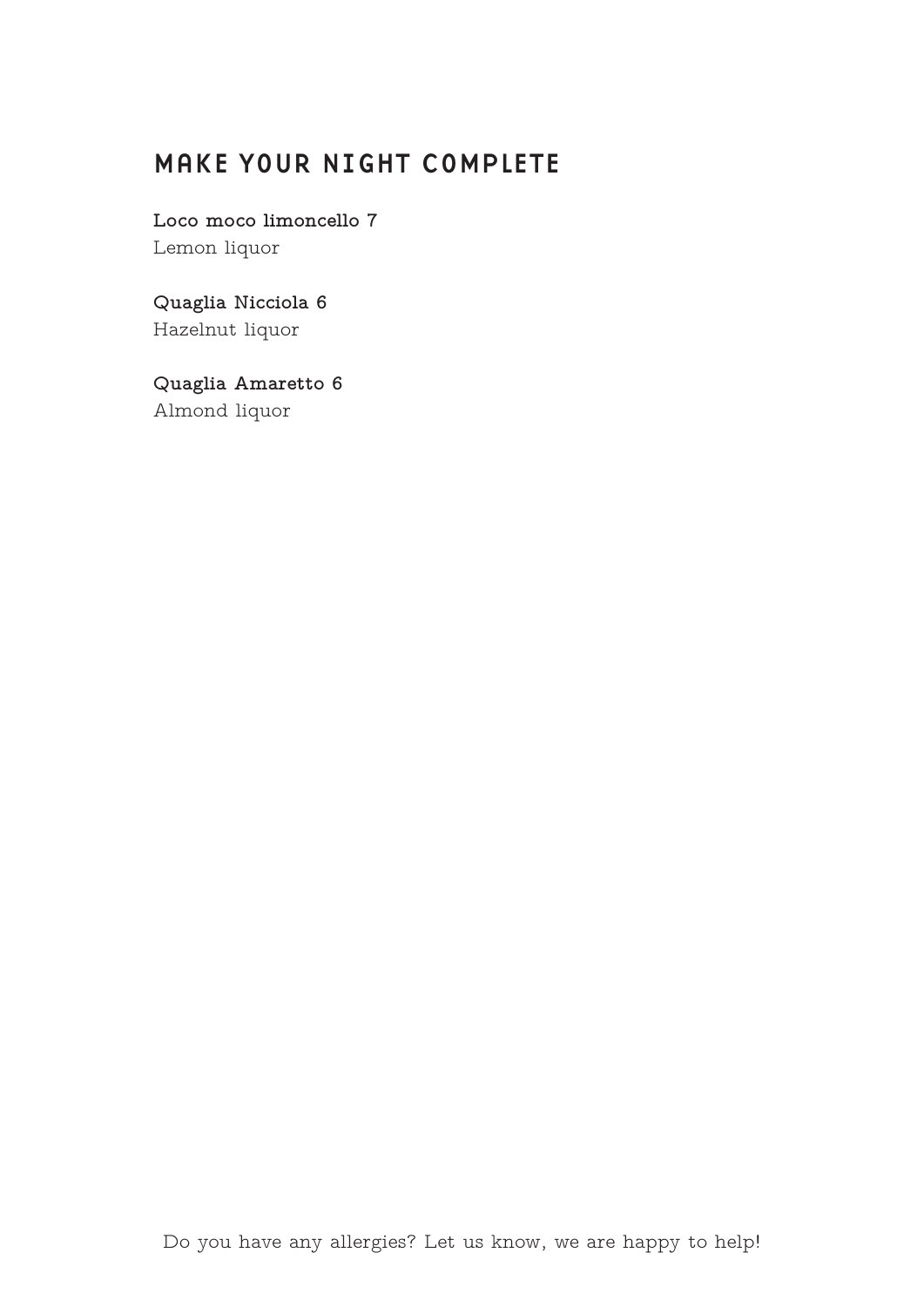# MAKE YOUR NIGHT COMPLETE

**Loco moco limoncello 7** Lemon liquor

**Quaglia Nicciola 6** Hazelnut liquor

**Quaglia Amaretto 6** Almond liquor